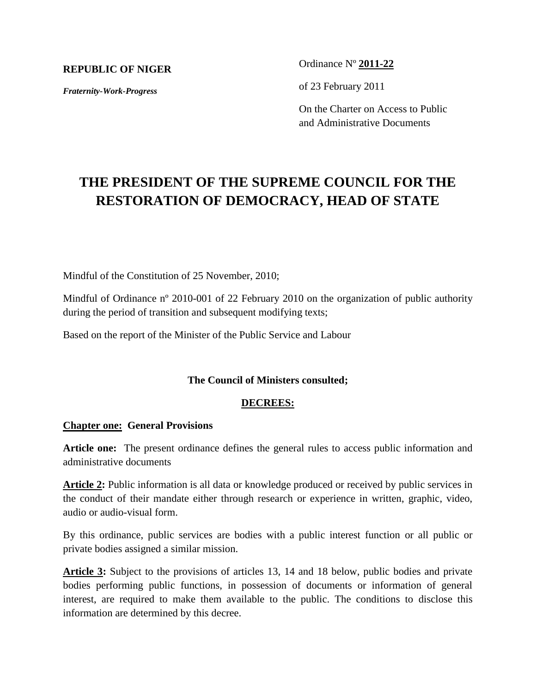## **REPUBLIC OF NIGER**

*Fraternity-Work-Progress*

Ordinance Nº **2011-22**

of 23 February 2011

On the Charter on Access to Public and Administrative Documents

# **THE PRESIDENT OF THE SUPREME COUNCIL FOR THE RESTORATION OF DEMOCRACY, HEAD OF STATE**

Mindful of the Constitution of 25 November, 2010;

Mindful of Ordinance n<sup>o</sup> 2010-001 of 22 February 2010 on the organization of public authority during the period of transition and subsequent modifying texts;

Based on the report of the Minister of the Public Service and Labour

## **The Council of Ministers consulted;**

### **DECREES:**

### **Chapter one: General Provisions**

**Article one:** The present ordinance defines the general rules to access public information and administrative documents

**Article 2:** Public information is all data or knowledge produced or received by public services in the conduct of their mandate either through research or experience in written, graphic, video, audio or audio-visual form.

By this ordinance, public services are bodies with a public interest function or all public or private bodies assigned a similar mission.

**Article 3:** Subject to the provisions of articles 13, 14 and 18 below, public bodies and private bodies performing public functions, in possession of documents or information of general interest, are required to make them available to the public. The conditions to disclose this information are determined by this decree.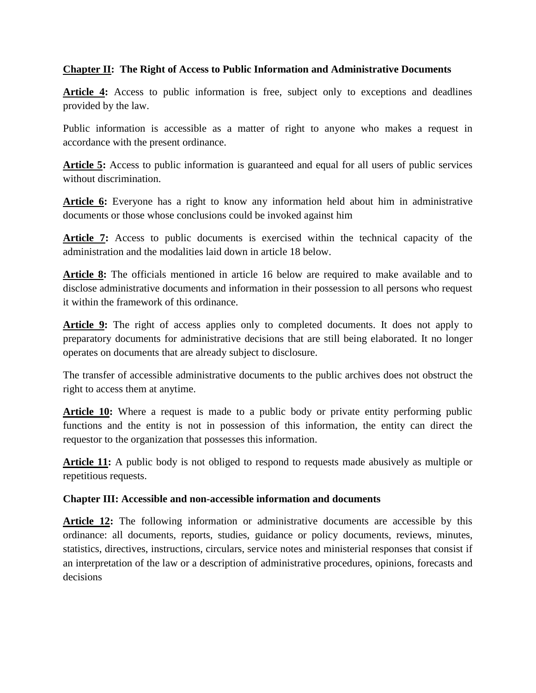# **Chapter II: The Right of Access to Public Information and Administrative Documents**

Article 4: Access to public information is free, subject only to exceptions and deadlines provided by the law.

Public information is accessible as a matter of right to anyone who makes a request in accordance with the present ordinance.

Article 5: Access to public information is guaranteed and equal for all users of public services without discrimination.

**Article 6:** Everyone has a right to know any information held about him in administrative documents or those whose conclusions could be invoked against him

**Article 7:** Access to public documents is exercised within the technical capacity of the administration and the modalities laid down in article 18 below.

**Article 8:** The officials mentioned in article 16 below are required to make available and to disclose administrative documents and information in their possession to all persons who request it within the framework of this ordinance.

Article 9: The right of access applies only to completed documents. It does not apply to preparatory documents for administrative decisions that are still being elaborated. It no longer operates on documents that are already subject to disclosure.

The transfer of accessible administrative documents to the public archives does not obstruct the right to access them at anytime.

**Article 10:** Where a request is made to a public body or private entity performing public functions and the entity is not in possession of this information, the entity can direct the requestor to the organization that possesses this information.

**Article 11:** A public body is not obliged to respond to requests made abusively as multiple or repetitious requests.

# **Chapter III: Accessible and non-accessible information and documents**

**Article 12:** The following information or administrative documents are accessible by this ordinance: all documents, reports, studies, guidance or policy documents, reviews, minutes, statistics, directives, instructions, circulars, service notes and ministerial responses that consist if an interpretation of the law or a description of administrative procedures, opinions, forecasts and decisions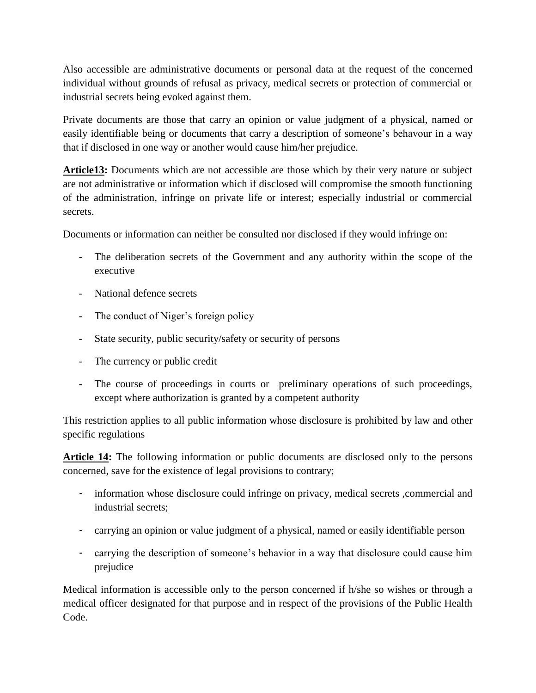Also accessible are administrative documents or personal data at the request of the concerned individual without grounds of refusal as privacy, medical secrets or protection of commercial or industrial secrets being evoked against them.

Private documents are those that carry an opinion or value judgment of a physical, named or easily identifiable being or documents that carry a description of someone's behavour in a way that if disclosed in one way or another would cause him/her prejudice.

**Article13:** Documents which are not accessible are those which by their very nature or subject are not administrative or information which if disclosed will compromise the smooth functioning of the administration, infringe on private life or interest; especially industrial or commercial secrets.

Documents or information can neither be consulted nor disclosed if they would infringe on:

- The deliberation secrets of the Government and any authority within the scope of the executive
- National defence secrets
- The conduct of Niger's foreign policy
- State security, public security/safety or security of persons
- The currency or public credit
- The course of proceedings in courts or preliminary operations of such proceedings, except where authorization is granted by a competent authority

This restriction applies to all public information whose disclosure is prohibited by law and other specific regulations

**Article 14:** The following information or public documents are disclosed only to the persons concerned, save for the existence of legal provisions to contrary;

- information whose disclosure could infringe on privacy, medical secrets ,commercial and industrial secrets;
- carrying an opinion or value judgment of a physical, named or easily identifiable person
- carrying the description of someone's behavior in a way that disclosure could cause him prejudice

Medical information is accessible only to the person concerned if h/she so wishes or through a medical officer designated for that purpose and in respect of the provisions of the Public Health Code.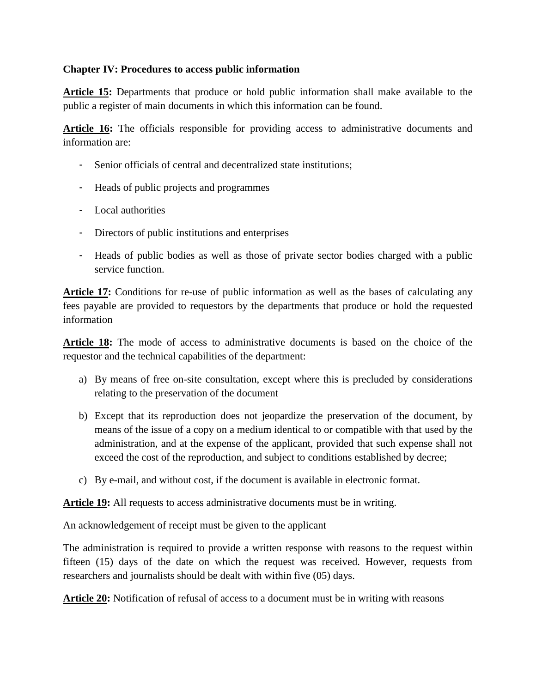# **Chapter IV: Procedures to access public information**

**Article 15:** Departments that produce or hold public information shall make available to the public a register of main documents in which this information can be found.

**Article 16:** The officials responsible for providing access to administrative documents and information are:

- Senior officials of central and decentralized state institutions;
- Heads of public projects and programmes
- Local authorities
- Directors of public institutions and enterprises
- Heads of public bodies as well as those of private sector bodies charged with a public service function.

Article 17: Conditions for re-use of public information as well as the bases of calculating any fees payable are provided to requestors by the departments that produce or hold the requested information

**Article 18:** The mode of access to administrative documents is based on the choice of the requestor and the technical capabilities of the department:

- a) By means of free on-site consultation, except where this is precluded by considerations relating to the preservation of the document
- b) Except that its reproduction does not jeopardize the preservation of the document, by means of the issue of a copy on a medium identical to or compatible with that used by the administration, and at the expense of the applicant, provided that such expense shall not exceed the cost of the reproduction, and subject to conditions established by decree;
- c) By e-mail, and without cost, if the document is available in electronic format.

**Article 19:** All requests to access administrative documents must be in writing.

An acknowledgement of receipt must be given to the applicant

The administration is required to provide a written response with reasons to the request within fifteen (15) days of the date on which the request was received. However, requests from researchers and journalists should be dealt with within five (05) days.

**Article 20:** Notification of refusal of access to a document must be in writing with reasons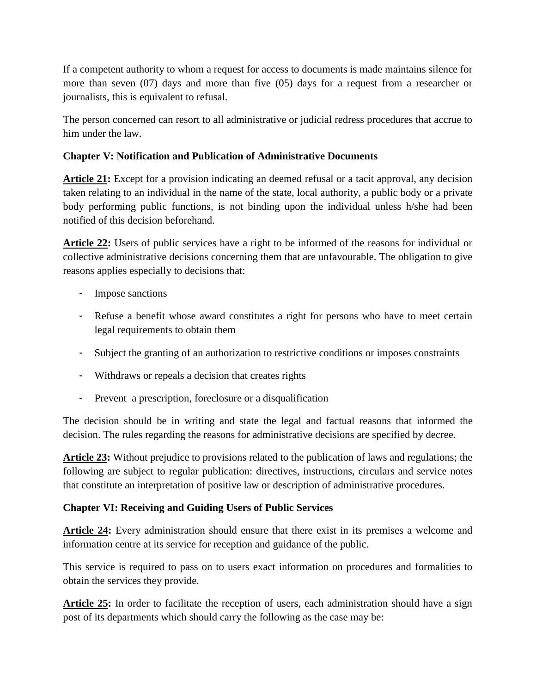If a competent authority to whom a request for access to documents is made maintains silence for more than seven (07) days and more than five (05) days for a request from a researcher or journalists, this is equivalent to refusal.

The person concerned can resort to all administrative or judicial redress procedures that accrue to him under the law.

# **Chapter V: Notification and Publication of Administrative Documents**

**Article 21:** Except for a provision indicating an deemed refusal or a tacit approval, any decision taken relating to an individual in the name of the state, local authority, a public body or a private body performing public functions, is not binding upon the individual unless h/she had been notified of this decision beforehand.

**Article 22:** Users of public services have a right to be informed of the reasons for individual or collective administrative decisions concerning them that are unfavourable. The obligation to give reasons applies especially to decisions that:

- Impose sanctions
- Refuse a benefit whose award constitutes a right for persons who have to meet certain legal requirements to obtain them
- Subject the granting of an authorization to restrictive conditions or imposes constraints
- Withdraws or repeals a decision that creates rights
- Prevent a prescription, foreclosure or a disqualification

The decision should be in writing and state the legal and factual reasons that informed the decision. The rules regarding the reasons for administrative decisions are specified by decree.

**Article 23:** Without prejudice to provisions related to the publication of laws and regulations; the following are subject to regular publication: directives, instructions, circulars and service notes that constitute an interpretation of positive law or description of administrative procedures.

# **Chapter VI: Receiving and Guiding Users of Public Services**

**Article 24:** Every administration should ensure that there exist in its premises a welcome and information centre at its service for reception and guidance of the public.

This service is required to pass on to users exact information on procedures and formalities to obtain the services they provide.

Article 25: In order to facilitate the reception of users, each administration should have a sign post of its departments which should carry the following as the case may be: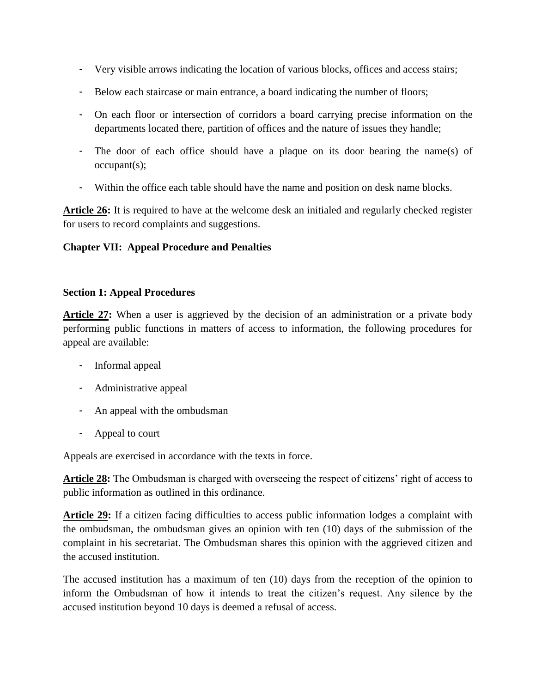- Very visible arrows indicating the location of various blocks, offices and access stairs;
- Below each staircase or main entrance, a board indicating the number of floors;
- On each floor or intersection of corridors a board carrying precise information on the departments located there, partition of offices and the nature of issues they handle;
- The door of each office should have a plaque on its door bearing the name(s) of occupant(s);
- Within the office each table should have the name and position on desk name blocks.

**Article 26:** It is required to have at the welcome desk an initialed and regularly checked register for users to record complaints and suggestions.

# **Chapter VII: Appeal Procedure and Penalties**

## **Section 1: Appeal Procedures**

**Article 27:** When a user is aggrieved by the decision of an administration or a private body performing public functions in matters of access to information, the following procedures for appeal are available:

- Informal appeal
- Administrative appeal
- An appeal with the ombudsman
- Appeal to court

Appeals are exercised in accordance with the texts in force.

**Article 28:** The Ombudsman is charged with overseeing the respect of citizens' right of access to public information as outlined in this ordinance.

**Article 29:** If a citizen facing difficulties to access public information lodges a complaint with the ombudsman, the ombudsman gives an opinion with ten (10) days of the submission of the complaint in his secretariat. The Ombudsman shares this opinion with the aggrieved citizen and the accused institution.

The accused institution has a maximum of ten (10) days from the reception of the opinion to inform the Ombudsman of how it intends to treat the citizen's request. Any silence by the accused institution beyond 10 days is deemed a refusal of access.